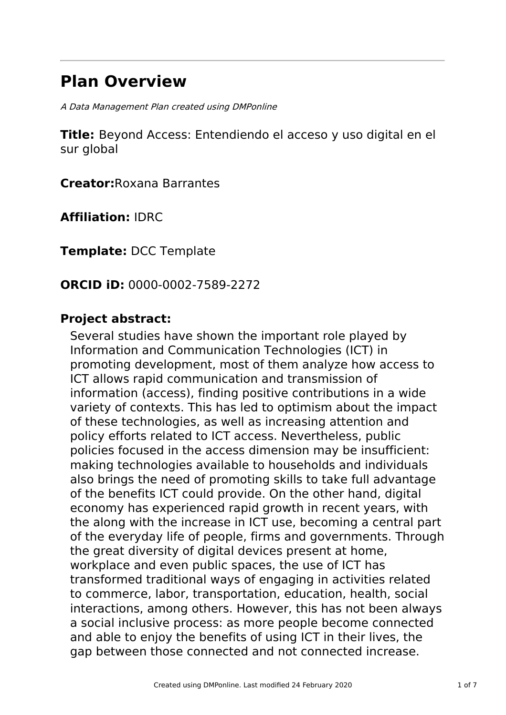# **Plan Overview**

A Data Management Plan created using DMPonline

**Title:** Beyond Access: Entendiendo el acceso y uso digital en el sur global

**Creator:**Roxana Barrantes

**Affiliation:** IDRC

**Template:** DCC Template

**ORCID iD:** 0000-0002-7589-2272

### **Project abstract:**

Several studies have shown the important role played by Information and Communication Technologies (ICT) in promoting development, most of them analyze how access to ICT allows rapid communication and transmission of information (access), finding positive contributions in a wide variety of contexts. This has led to optimism about the impact of these technologies, as well as increasing attention and policy efforts related to ICT access. Nevertheless, public policies focused in the access dimension may be insufficient: making technologies available to households and individuals also brings the need of promoting skills to take full advantage of the benefits ICT could provide. On the other hand, digital economy has experienced rapid growth in recent years, with the along with the increase in ICT use, becoming a central part of the everyday life of people, firms and governments. Through the great diversity of digital devices present at home, workplace and even public spaces, the use of ICT has transformed traditional ways of engaging in activities related to commerce, labor, transportation, education, health, social interactions, among others. However, this has not been always a social inclusive process: as more people become connected and able to enjoy the benefits of using ICT in their lives, the gap between those connected and not connected increase.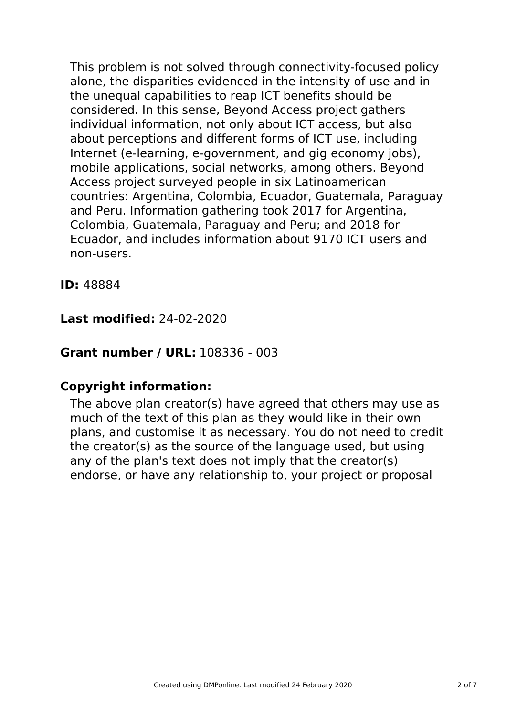This problem is not solved through connectivity-focused policy alone, the disparities evidenced in the intensity of use and in the unequal capabilities to reap ICT benefits should be considered. In this sense, Beyond Access project gathers individual information, not only about ICT access, but also about perceptions and different forms of ICT use, including Internet (e-learning, e-government, and gig economy jobs), mobile applications, social networks, among others. Beyond Access project surveyed people in six Latinoamerican countries: Argentina, Colombia, Ecuador, Guatemala, Paraguay and Peru. Information gathering took 2017 for Argentina, Colombia, Guatemala, Paraguay and Peru; and 2018 for Ecuador, and includes information about 9170 ICT users and non-users.

**ID:** 48884

# **Last modified:** 24-02-2020

### **Grant number / URL:** 108336 - 003

### **Copyright information:**

The above plan creator(s) have agreed that others may use as much of the text of this plan as they would like in their own plans, and customise it as necessary. You do not need to credit the creator(s) as the source of the language used, but using any of the plan's text does not imply that the creator(s) endorse, or have any relationship to, your project or proposal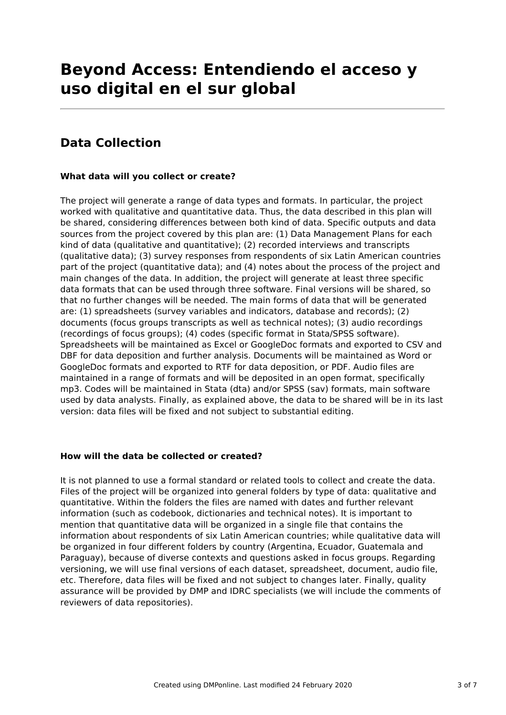# **Beyond Access: Entendiendo el acceso y uso digital en el sur global**

## **Data Collection**

### **What data will you collect or create?**

The project will generate a range of data types and formats. In particular, the project worked with qualitative and quantitative data. Thus, the data described in this plan will be shared, considering differences between both kind of data. Specific outputs and data sources from the project covered by this plan are: (1) Data Management Plans for each kind of data (qualitative and quantitative); (2) recorded interviews and transcripts (qualitative data); (3) survey responses from respondents of six Latin American countries part of the project (quantitative data); and (4) notes about the process of the project and main changes of the data. In addition, the project will generate at least three specific data formats that can be used through three software. Final versions will be shared, so that no further changes will be needed. The main forms of data that will be generated are: (1) spreadsheets (survey variables and indicators, database and records); (2) documents (focus groups transcripts as well as technical notes); (3) audio recordings (recordings of focus groups); (4) codes (specific format in Stata/SPSS software). Spreadsheets will be maintained as Excel or GoogleDoc formats and exported to CSV and DBF for data deposition and further analysis. Documents will be maintained as Word or GoogleDoc formats and exported to RTF for data deposition, or PDF. Audio files are maintained in a range of formats and will be deposited in an open format, specifically mp3. Codes will be maintained in Stata (dta) and/or SPSS (sav) formats, main software used by data analysts. Finally, as explained above, the data to be shared will be in its last version: data files will be fixed and not subject to substantial editing.

#### **How will the data be collected or created?**

It is not planned to use a formal standard or related tools to collect and create the data. Files of the project will be organized into general folders by type of data: qualitative and quantitative. Within the folders the files are named with dates and further relevant information (such as codebook, dictionaries and technical notes). It is important to mention that quantitative data will be organized in a single file that contains the information about respondents of six Latin American countries; while qualitative data will be organized in four different folders by country (Argentina, Ecuador, Guatemala and Paraguay), because of diverse contexts and questions asked in focus groups. Regarding versioning, we will use final versions of each dataset, spreadsheet, document, audio file, etc. Therefore, data files will be fixed and not subject to changes later. Finally, quality assurance will be provided by DMP and IDRC specialists (we will include the comments of reviewers of data repositories).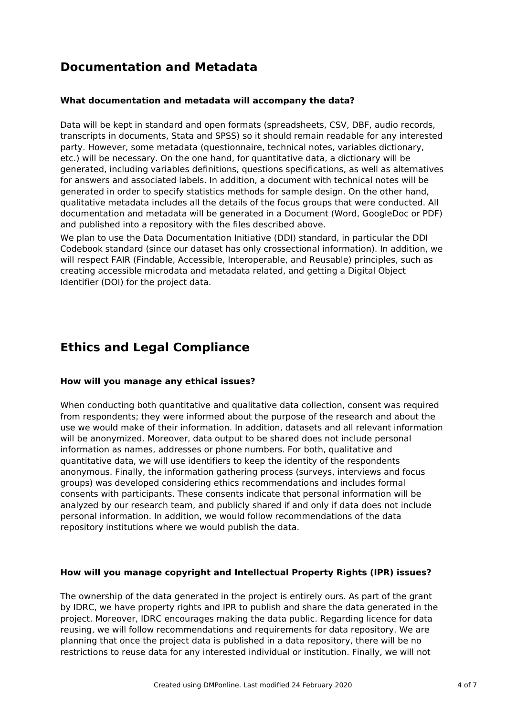# **Documentation and Metadata**

### **What documentation and metadata will accompany the data?**

Data will be kept in standard and open formats (spreadsheets, CSV, DBF, audio records, transcripts in documents, Stata and SPSS) so it should remain readable for any interested party. However, some metadata (questionnaire, technical notes, variables dictionary, etc.) will be necessary. On the one hand, for quantitative data, a dictionary will be generated, including variables definitions, questions specifications, as well as alternatives for answers and associated labels. In addition, a document with technical notes will be generated in order to specify statistics methods for sample design. On the other hand, qualitative metadata includes all the details of the focus groups that were conducted. All documentation and metadata will be generated in a Document (Word, GoogleDoc or PDF) and published into a repository with the files described above.

We plan to use the Data Documentation Initiative (DDI) standard, in particular the DDI Codebook standard (since our dataset has only crossectional information). In addition, we will respect FAIR (Findable, Accessible, Interoperable, and Reusable) principles, such as creating accessible microdata and metadata related, and getting a Digital Object Identifier (DOI) for the project data.

### **Ethics and Legal Compliance**

#### **How will you manage any ethical issues?**

When conducting both quantitative and qualitative data collection, consent was required from respondents; they were informed about the purpose of the research and about the use we would make of their information. In addition, datasets and all relevant information will be anonymized. Moreover, data output to be shared does not include personal information as names, addresses or phone numbers. For both, qualitative and quantitative data, we will use identifiers to keep the identity of the respondents anonymous. Finally, the information gathering process (surveys, interviews and focus groups) was developed considering ethics recommendations and includes formal consents with participants. These consents indicate that personal information will be analyzed by our research team, and publicly shared if and only if data does not include personal information. In addition, we would follow recommendations of the data repository institutions where we would publish the data.

#### **How will you manage copyright and Intellectual Property Rights (IPR) issues?**

The ownership of the data generated in the project is entirely ours. As part of the grant by IDRC, we have property rights and IPR to publish and share the data generated in the project. Moreover, IDRC encourages making the data public. Regarding licence for data reusing, we will follow recommendations and requirements for data repository. We are planning that once the project data is published in a data repository, there will be no restrictions to reuse data for any interested individual or institution. Finally, we will not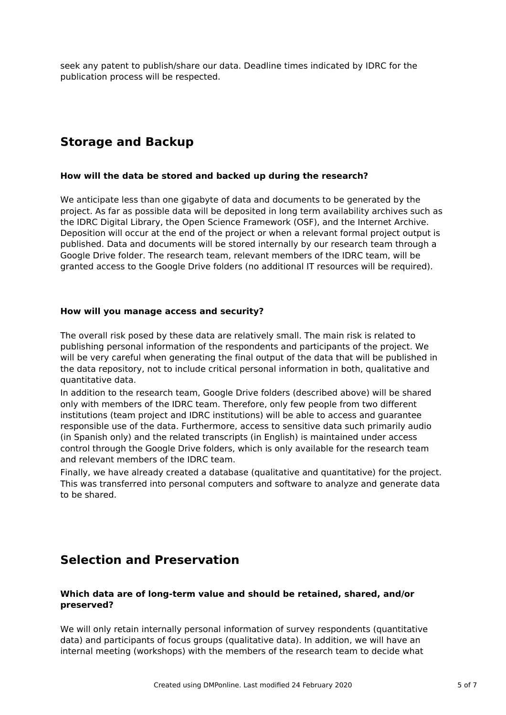seek any patent to publish/share our data. Deadline times indicated by IDRC for the publication process will be respected.

## **Storage and Backup**

### **How will the data be stored and backed up during the research?**

We anticipate less than one gigabyte of data and documents to be generated by the project. As far as possible data will be deposited in long term availability archives such as the IDRC Digital Library, the Open Science Framework (OSF), and the Internet Archive. Deposition will occur at the end of the project or when a relevant formal project output is published. Data and documents will be stored internally by our research team through a Google Drive folder. The research team, relevant members of the IDRC team, will be granted access to the Google Drive folders (no additional IT resources will be required).

### **How will you manage access and security?**

The overall risk posed by these data are relatively small. The main risk is related to publishing personal information of the respondents and participants of the project. We will be very careful when generating the final output of the data that will be published in the data repository, not to include critical personal information in both, qualitative and quantitative data.

In addition to the research team, Google Drive folders (described above) will be shared only with members of the IDRC team. Therefore, only few people from two different institutions (team project and IDRC institutions) will be able to access and guarantee responsible use of the data. Furthermore, access to sensitive data such primarily audio (in Spanish only) and the related transcripts (in English) is maintained under access control through the Google Drive folders, which is only available for the research team and relevant members of the IDRC team.

Finally, we have already created a database (qualitative and quantitative) for the project. This was transferred into personal computers and software to analyze and generate data to be shared.

### **Selection and Preservation**

### **Which data are of long-term value and should be retained, shared, and/or preserved?**

We will only retain internally personal information of survey respondents (quantitative data) and participants of focus groups (qualitative data). In addition, we will have an internal meeting (workshops) with the members of the research team to decide what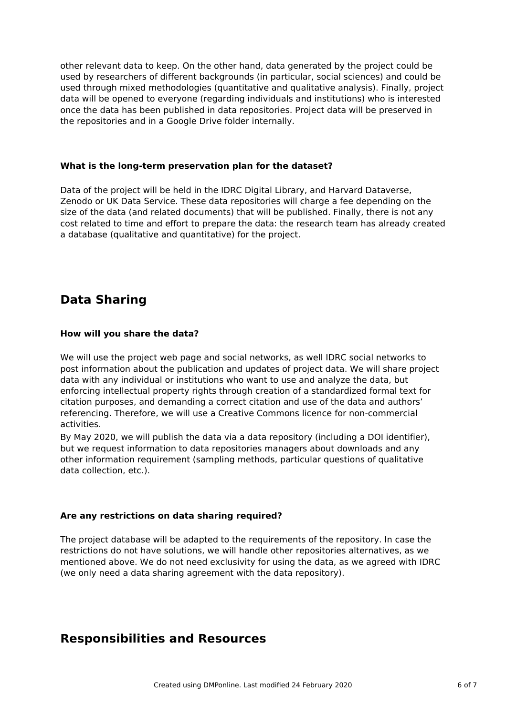other relevant data to keep. On the other hand, data generated by the project could be used by researchers of different backgrounds (in particular, social sciences) and could be used through mixed methodologies (quantitative and qualitative analysis). Finally, project data will be opened to everyone (regarding individuals and institutions) who is interested once the data has been published in data repositories. Project data will be preserved in the repositories and in a Google Drive folder internally.

### **What is the long-term preservation plan for the dataset?**

Data of the project will be held in the IDRC Digital Library, and Harvard Dataverse, Zenodo or UK Data Service. These data repositories will charge a fee depending on the size of the data (and related documents) that will be published. Finally, there is not any cost related to time and effort to prepare the data: the research team has already created a database (qualitative and quantitative) for the project.

# **Data Sharing**

### **How will you share the data?**

We will use the project web page and social networks, as well IDRC social networks to post information about the publication and updates of project data. We will share project data with any individual or institutions who want to use and analyze the data, but enforcing intellectual property rights through creation of a standardized formal text for citation purposes, and demanding a correct citation and use of the data and authors' referencing. Therefore, we will use a Creative Commons licence for non-commercial activities.

By May 2020, we will publish the data via a data repository (including a DOI identifier), but we request information to data repositories managers about downloads and any other information requirement (sampling methods, particular questions of qualitative data collection, etc.).

### **Are any restrictions on data sharing required?**

The project database will be adapted to the requirements of the repository. In case the restrictions do not have solutions, we will handle other repositories alternatives, as we mentioned above. We do not need exclusivity for using the data, as we agreed with IDRC (we only need a data sharing agreement with the data repository).

### **Responsibilities and Resources**